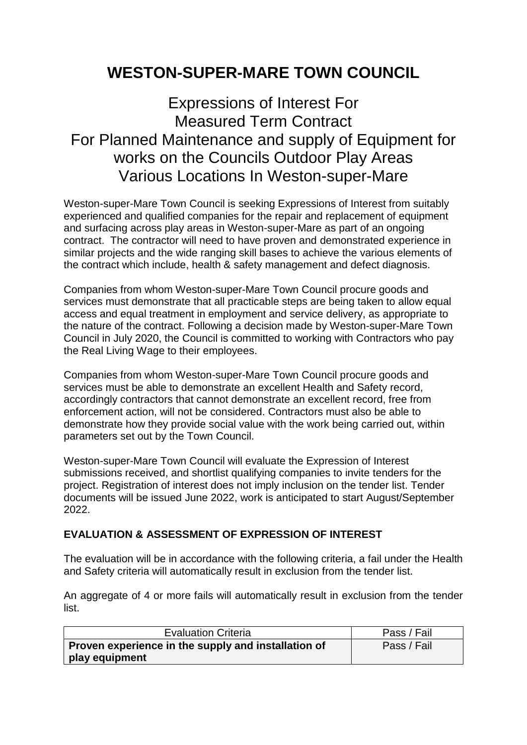## **WESTON-SUPER-MARE TOWN COUNCIL**

## Expressions of Interest For Measured Term Contract For Planned Maintenance and supply of Equipment for works on the Councils Outdoor Play Areas Various Locations In Weston-super-Mare

Weston-super-Mare Town Council is seeking Expressions of Interest from suitably experienced and qualified companies for the repair and replacement of equipment and surfacing across play areas in Weston-super-Mare as part of an ongoing contract. The contractor will need to have proven and demonstrated experience in similar projects and the wide ranging skill bases to achieve the various elements of the contract which include, health & safety management and defect diagnosis.

Companies from whom Weston-super-Mare Town Council procure goods and services must demonstrate that all practicable steps are being taken to allow equal access and equal treatment in employment and service delivery, as appropriate to the nature of the contract. Following a decision made by Weston-super-Mare Town Council in July 2020, the Council is committed to working with Contractors who pay the Real Living Wage to their employees.

Companies from whom Weston-super-Mare Town Council procure goods and services must be able to demonstrate an excellent Health and Safety record, accordingly contractors that cannot demonstrate an excellent record, free from enforcement action, will not be considered. Contractors must also be able to demonstrate how they provide social value with the work being carried out, within parameters set out by the Town Council.

Weston-super-Mare Town Council will evaluate the Expression of Interest submissions received, and shortlist qualifying companies to invite tenders for the project. Registration of interest does not imply inclusion on the tender list. Tender documents will be issued June 2022, work is anticipated to start August/September 2022.

## **EVALUATION & ASSESSMENT OF EXPRESSION OF INTEREST**

The evaluation will be in accordance with the following criteria, a fail under the Health and Safety criteria will automatically result in exclusion from the tender list.

An aggregate of 4 or more fails will automatically result in exclusion from the tender list.

| <b>Evaluation Criteria</b>                          | Pass / Fail |
|-----------------------------------------------------|-------------|
| Proven experience in the supply and installation of | Pass / Fail |
| play equipment                                      |             |